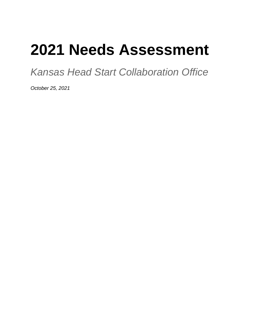# **2021 Needs Assessment**

*Kansas Head Start Collaboration Office*

*October 25, 2021*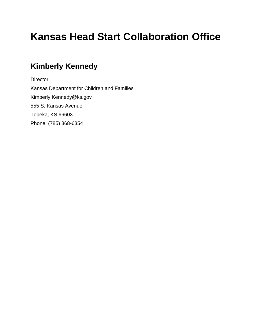# **Kansas Head Start Collaboration Office**

### **Kimberly Kennedy**

**Director** Kansas Department for Children and Families Kimberly.Kennedy@ks.gov 555 S. Kansas Avenue Topeka, KS 66603 Phone: (785) 368-6354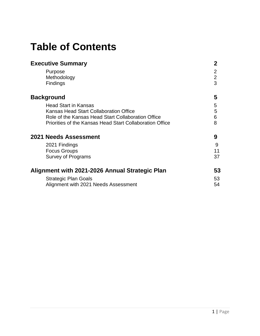## **Table of Contents**

| <b>Executive Summary</b>                                 | 2                        |
|----------------------------------------------------------|--------------------------|
| Purpose<br>Methodology<br><b>Findings</b>                | 2<br>$\overline{2}$<br>3 |
| <b>Background</b>                                        | 5                        |
| <b>Head Start in Kansas</b>                              | 5                        |
| Kansas Head Start Collaboration Office                   | 5                        |
| Role of the Kansas Head Start Collaboration Office       | 6                        |
| Priorities of the Kansas Head Start Collaboration Office | 8                        |
| <b>2021 Needs Assessment</b>                             | 9                        |
| 2021 Findings                                            | 9                        |
| <b>Focus Groups</b>                                      | 11                       |
| Survey of Programs                                       | 37                       |
| Alignment with 2021-2026 Annual Strategic Plan           | 53                       |
| <b>Strategic Plan Goals</b>                              | 53                       |
| Alignment with 2021 Needs Assessment                     | 54                       |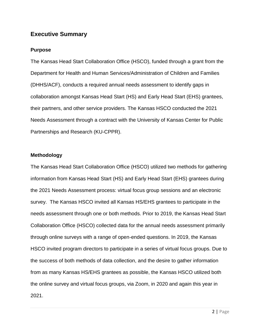### **Executive Summary**

### **Purpose**

The Kansas Head Start Collaboration Office (HSCO), funded through a grant from the Department for Health and Human Services/Administration of Children and Families (DHHS/ACF), conducts a required annual needs assessment to identify gaps in collaboration amongst Kansas Head Start (HS) and Early Head Start (EHS) grantees, their partners, and other service providers. The Kansas HSCO conducted the 2021 Needs Assessment through a contract with the University of Kansas Center for Public Partnerships and Research (KU-CPPR).

### **Methodology**

The Kansas Head Start Collaboration Office (HSCO) utilized two methods for gathering information from Kansas Head Start (HS) and Early Head Start (EHS) grantees during the 2021 Needs Assessment process: virtual focus group sessions and an electronic survey. The Kansas HSCO invited all Kansas HS/EHS grantees to participate in the needs assessment through one or both methods. Prior to 2019, the Kansas Head Start Collaboration Office (HSCO) collected data for the annual needs assessment primarily through online surveys with a range of open-ended questions. In 2019, the Kansas HSCO invited program directors to participate in a series of virtual focus groups. Due to the success of both methods of data collection, and the desire to gather information from as many Kansas HS/EHS grantees as possible, the Kansas HSCO utilized both the online survey and virtual focus groups, via Zoom, in 2020 and again this year in 2021.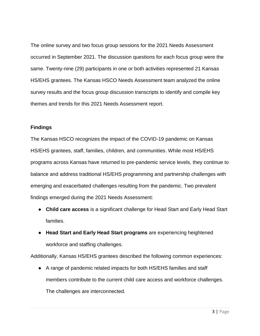The online survey and two focus group sessions for the 2021 Needs Assessment occurred in September 2021. The discussion questions for each focus group were the same. Twenty-nine (29) participants in one or both activities represented 21 Kansas HS/EHS grantees. The Kansas HSCO Needs Assessment team analyzed the online survey results and the focus group discussion transcripts to identify and compile key themes and trends for this 2021 Needs Assessment report.

### **Findings**

The Kansas HSCO recognizes the impact of the COVID-19 pandemic on Kansas HS/EHS grantees, staff, families, children, and communities. While most HS/EHS programs across Kansas have returned to pre-pandemic service levels, they continue to balance and address traditional HS/EHS programming and partnership challenges with emerging and exacerbated challenges resulting from the pandemic. Two prevalent findings emerged during the 2021 Needs Assessment:

- **Child care access** is a significant challenge for Head Start and Early Head Start families.
- **Head Start and Early Head Start programs** are experiencing heightened workforce and staffing challenges.

Additionally, Kansas HS/EHS grantees described the following common experiences:

● A range of pandemic related impacts for both HS/EHS families and staff members contribute to the current child care access and workforce challenges. The challenges are interconnected.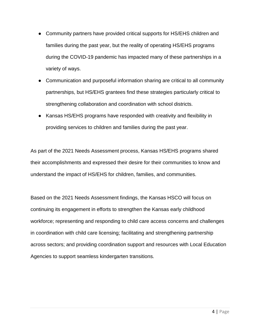- Community partners have provided critical supports for HS/EHS children and families during the past year, but the reality of operating HS/EHS programs during the COVID-19 pandemic has impacted many of these partnerships in a variety of ways.
- Communication and purposeful information sharing are critical to all community partnerships, but HS/EHS grantees find these strategies particularly critical to strengthening collaboration and coordination with school districts.
- Kansas HS/EHS programs have responded with creativity and flexibility in providing services to children and families during the past year.

As part of the 2021 Needs Assessment process, Kansas HS/EHS programs shared their accomplishments and expressed their desire for their communities to know and understand the impact of HS/EHS for children, families, and communities.

Based on the 2021 Needs Assessment findings, the Kansas HSCO will focus on continuing its engagement in efforts to strengthen the Kansas early childhood workforce; representing and responding to child care access concerns and challenges in coordination with child care licensing; facilitating and strengthening partnership across sectors; and providing coordination support and resources with Local Education Agencies to support seamless kindergarten transitions.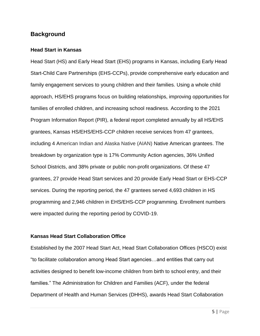### **Background**

### **Head Start in Kansas**

Head Start (HS) and Early Head Start (EHS) programs in Kansas, including Early Head Start-Child Care Partnerships (EHS-CCPs), provide comprehensive early education and family engagement services to young children and their families. Using a whole child approach, HS/EHS programs focus on building relationships, improving opportunities for families of enrolled children, and increasing school readiness. According to the 2021 Program Information Report (PIR), a federal report completed annually by all HS/EHS grantees, Kansas HS/EHS/EHS-CCP children receive services from 47 grantees, including 4 American Indian and Alaska Native (AIAN) Native American grantees. The breakdown by organization type is 17% Community Action agencies, 36% Unified School Districts, and 38% private or public non-profit organizations. Of these 47 grantees, 27 provide Head Start services and 20 provide Early Head Start or EHS-CCP services. During the reporting period, the 47 grantees served 4,693 children in HS programming and 2,946 children in EHS/EHS-CCP programming. Enrollment numbers were impacted during the reporting period by COVID-19.

### **Kansas Head Start Collaboration Office**

Established by the 2007 Head Start Act, Head Start Collaboration Offices (HSCO) exist "to facilitate collaboration among Head Start agencies…and entities that carry out activities designed to benefit low-income children from birth to school entry, and their families." The Administration for Children and Families (ACF), under the federal Department of Health and Human Services (DHHS), awards Head Start Collaboration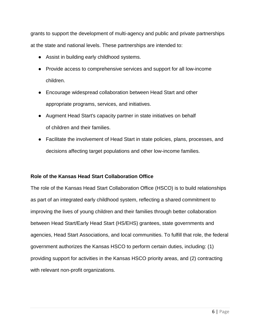grants to support the development of multi-agency and public and private partnerships at the state and national levels. These partnerships are intended to:

- Assist in building early childhood systems.
- Provide access to comprehensive services and support for all low-income children.
- Encourage widespread collaboration between Head Start and other appropriate programs, services, and initiatives.
- Augment Head Start's capacity partner in state initiatives on behalf of children and their families.
- Facilitate the involvement of Head Start in state policies, plans, processes, and decisions affecting target populations and other low-income families.

### **Role of the Kansas Head Start Collaboration Office**

The role of the Kansas Head Start Collaboration Office (HSCO) is to build relationships as part of an integrated early childhood system, reflecting a shared commitment to improving the lives of young children and their families through better collaboration between Head Start/Early Head Start (HS/EHS) grantees, state governments and agencies, Head Start Associations, and local communities. To fulfill that role, the federal government authorizes the Kansas HSCO to perform certain duties, including: (1) providing support for activities in the Kansas HSCO priority areas, and (2) contracting with relevant non-profit organizations.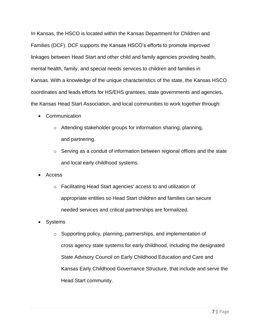In Kansas, the HSCO is located within the Kansas Department for Children and Families (DCF). DCF supports the Kansas HSCO's efforts to promote improved linkages between Head Start and other child and family agencies providing health, mental health, family, and special needs services to children and families in Kansas. With a knowledge of the unique characteristics of the state, the Kansas HSCO coordinates and leads efforts for HS/EHS grantees, state governments and agencies, the Kansas Head Start Association, and local communities to work together through:

- Communication
	- o Attending stakeholder groups for information sharing, planning, and partnering.
	- o Serving as a conduit of information between regional offices and the state and local early childhood systems.
- Access
	- o Facilitating Head Start agencies' access to and utilization of appropriate entities so Head Start children and families can secure needed services and critical partnerships are formalized.
- **Systems** 
	- o Supporting policy, planning, partnerships, and implementation of cross agency state systems for early childhood, including the designated State Advisory Council on Early Childhood Education and Care and Kansas Early Childhood Governance Structure, that include and serve the Head Start community.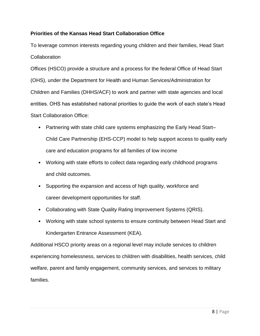### **Priorities of the Kansas Head Start Collaboration Office**

To leverage common interests regarding young children and their families, Head Start **Collaboration** 

Offices (HSCO) provide a structure and a process for the federal Office of Head Start (OHS), under the Department for Health and Human Services/Administration for Children and Families (DHHS/ACF) to work and partner with state agencies and local entities. OHS has established national priorities to guide the work of each state's Head Start Collaboration Office:

- Partnering with state child care systems emphasizing the Early Head Start– Child Care Partnership (EHS-CCP) model to help support access to quality early care and education programs for all families of low income
- Working with state efforts to collect data regarding early childhood programs and child outcomes.
- Supporting the expansion and access of high quality, workforce and career development opportunities for staff.
- Collaborating with State Quality Rating Improvement Systems (QRIS).
- Working with state school systems to ensure continuity between Head Start and Kindergarten Entrance Assessment (KEA).

Additional HSCO priority areas on a regional level may include services to children experiencing homelessness, services to children with disabilities, health services, child welfare, parent and family engagement, community services, and services to military families.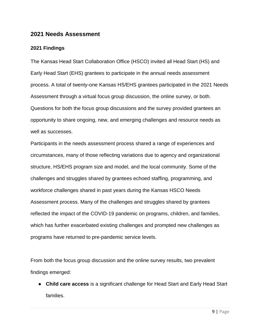### **2021 Needs Assessment**

### **2021 Findings**

The Kansas Head Start Collaboration Office (HSCO) invited all Head Start (HS) and Early Head Start (EHS) grantees to participate in the annual needs assessment process. A total of twenty-one Kansas HS/EHS grantees participated in the 2021 Needs Assessment through a virtual focus group discussion, the online survey, or both. Questions for both the focus group discussions and the survey provided grantees an opportunity to share ongoing, new, and emerging challenges and resource needs as well as successes.

Participants in the needs assessment process shared a range of experiences and circumstances, many of those reflecting variations due to agency and organizational structure, HS/EHS program size and model, and the local community. Some of the challenges and struggles shared by grantees echoed staffing, programming, and workforce challenges shared in past years during the Kansas HSCO Needs Assessment process. Many of the challenges and struggles shared by grantees reflected the impact of the COVID-19 pandemic on programs, children, and families, which has further exacerbated existing challenges and prompted new challenges as programs have returned to pre-pandemic service levels.

From both the focus group discussion and the online survey results, two prevalent findings emerged:

● **Child care access** is a significant challenge for Head Start and Early Head Start families.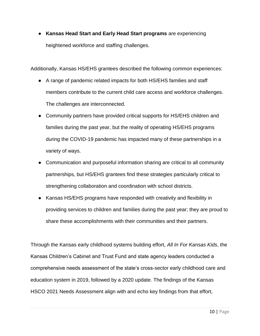● **Kansas Head Start and Early Head Start programs** are experiencing heightened workforce and staffing challenges.

Additionally, Kansas HS/EHS grantees described the following common experiences:

- A range of pandemic related impacts for both HS/EHS families and staff members contribute to the current child care access and workforce challenges. The challenges are interconnected.
- Community partners have provided critical supports for HS/EHS children and families during the past year, but the reality of operating HS/EHS programs during the COVID-19 pandemic has impacted many of these partnerships in a variety of ways.
- Communication and purposeful information sharing are critical to all community partnerships, but HS/EHS grantees find these strategies particularly critical to strengthening collaboration and coordination with school districts.
- Kansas HS/EHS programs have responded with creativity and flexibility in providing services to children and families during the past year; they are proud to share these accomplishments with their communities and their partners.

Through the Kansas early childhood systems building effort, *All In For Kansas Kids*, the Kansas Children's Cabinet and Trust Fund and state agency leaders conducted a comprehensive needs assessment of the state's cross-sector early childhood care and education system in 2019, followed by a 2020 update. The findings of the Kansas HSCO 2021 Needs Assessment align with and echo key findings from that effort,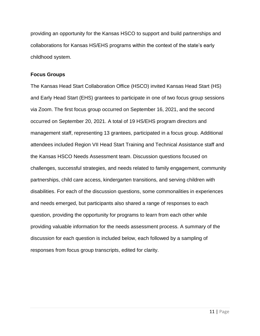providing an opportunity for the Kansas HSCO to support and build partnerships and collaborations for Kansas HS/EHS programs within the context of the state's early childhood system.

### **Focus Groups**

The Kansas Head Start Collaboration Office (HSCO) invited Kansas Head Start (HS) and Early Head Start (EHS) grantees to participate in one of two focus group sessions via Zoom. The first focus group occurred on September 16, 2021, and the second occurred on September 20, 2021. A total of 19 HS/EHS program directors and management staff, representing 13 grantees, participated in a focus group. Additional attendees included Region VII Head Start Training and Technical Assistance staff and the Kansas HSCO Needs Assessment team. Discussion questions focused on challenges, successful strategies, and needs related to family engagement, community partnerships, child care access, kindergarten transitions, and serving children with disabilities. For each of the discussion questions, some commonalities in experiences and needs emerged, but participants also shared a range of responses to each question, providing the opportunity for programs to learn from each other while providing valuable information for the needs assessment process. A summary of the discussion for each question is included below, each followed by a sampling of responses from focus group transcripts, edited for clarity.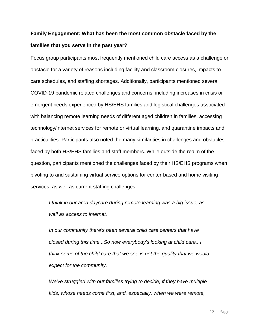### **Family Engagement: What has been the most common obstacle faced by the families that you serve in the past year?**

Focus group participants most frequently mentioned child care access as a challenge or obstacle for a variety of reasons including facility and classroom closures, impacts to care schedules, and staffing shortages. Additionally, participants mentioned several COVID-19 pandemic related challenges and concerns, including increases in crisis or emergent needs experienced by HS/EHS families and logistical challenges associated with balancing remote learning needs of different aged children in families, accessing technology/internet services for remote or virtual learning, and quarantine impacts and practicalities. Participants also noted the many similarities in challenges and obstacles faced by both HS/EHS families and staff members. While outside the realm of the question, participants mentioned the challenges faced by their HS/EHS programs when pivoting to and sustaining virtual service options for center-based and home visiting services, as well as current staffing challenges.

*I think in our area daycare during remote learning was a big issue, as well as access to internet.*

*In our community there's been several child care centers that have closed during this time...So now everybody's looking at child care...I think some of the child care that we see is not the quality that we would expect for the community.*

*We've struggled with our families trying to decide, if they have multiple kids, whose needs come first, and, especially, when we were remote,*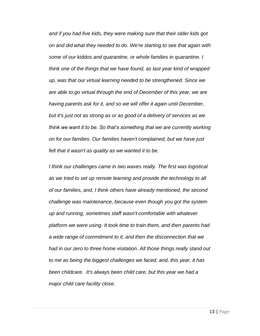*and if you had five kids, they were making sure that their older kids got on and did what they needed to do. We're starting to see that again with some of our kiddos and quarantine, or whole families in quarantine. I think one of the things that we have found, as last year kind of wrapped up, was that our virtual learning needed to be strengthened. Since we are able to go virtual through the end of December of this year, we are having parents ask for it, and so we will offer it again until December, but it's just not as strong as or as good of a delivery of services as we think we want it to be. So that's something that we are currently working on for our families. Our families haven't complained, but we have just felt that it wasn't as quality as we wanted it to be.*

*I think our challenges came in two waves really. The first was logistical as we tried to set up remote learning and provide the technology to all of our families, and, I think others have already mentioned, the second challenge was maintenance, because even though you got the system up and running, sometimes staff wasn't comfortable with whatever platform we were using. It took time to train them, and then parents had a wide range of commitment to it, and then the disconnection that we had in our zero to three home visitation. All those things really stand out to me as being the biggest challenges we faced, and, this year, it has been childcare. It's always been child care, but this year we had a major child care facility close.*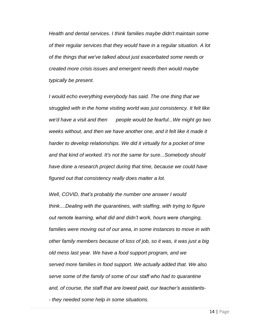*Health and dental services. I think families maybe didn't maintain some of their regular services that they would have in a regular situation. A lot of the things that we've talked about just exacerbated some needs or created more crisis issues and emergent needs then would maybe typically be present.*

*I would echo everything everybody has said. The one thing that we struggled with in the home visiting world was just consistency. It felt like we'd have a visit and then people would be fearful...We might go two*  weeks without, and then we have another one, and it felt like it made it *harder to develop relationships. We did it virtually for a pocket of time and that kind of worked. It's not the same for sure...Somebody should have done a research project during that time, because we could have figured out that consistency really does matter a lot.*

*Well, COVID, that's probably the number one answer I would think....Dealing with the quarantines, with staffing, with trying to figure out remote learning, what did and didn't work, hours were changing, families were moving out of our area, in some instances to move in with other family members because of loss of job, so it was, it was just a big old mess last year. We have a food support program, and we served more families in food support. We actually added that. We also serve some of the family of some of our staff who had to quarantine and, of course, the staff that are lowest paid, our teacher's assistants- - they needed some help in some situations.*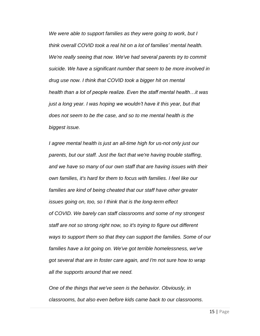*We were able to support families as they were going to work, but I think overall COVID took a real hit on a lot of families' mental health. We're really seeing that now. We've had several parents try to commit suicide. We have a significant number that seem to be more involved in drug use now. I think that COVID took a bigger hit on mental health than a lot of people realize. Even the staff mental health…it was just a long year. I was hoping we wouldn't have it this year, but that does not seem to be the case, and so to me mental health is the biggest issue.*

*I agree mental health is just an all-time high for us-not only just our parents, but our staff. Just the fact that we're having trouble staffing, and we have so many of our own staff that are having issues with their own families, it's hard for them to focus with families. I feel like our families are kind of being cheated that our staff have other greater issues going on, too, so I think that is the long-term effect of COVID. We barely can staff classrooms and some of my strongest staff are not so strong right now, so it's trying to figure out different ways to support them so that they can support the families. Some of our families have a lot going on. We've got terrible homelessness, we've got several that are in foster care again, and I'm not sure how to wrap all the supports around that we need.*

*One of the things that we've seen is the behavior. Obviously, in classrooms, but also even before kids came back to our classrooms.*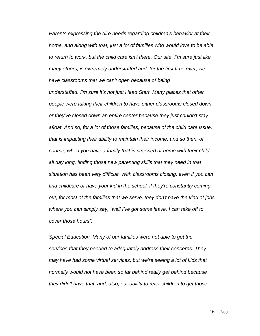*Parents expressing the dire needs regarding children's behavior at their home, and along with that, just a lot of families who would love to be able to return to work, but the child care isn't there. Our site, I'm sure just like many others, is extremely understaffed and, for the first time ever, we have classrooms that we can't open because of being understaffed. I'm sure it's not just Head Start. Many places that other people were taking their children to have either classrooms closed down or they've closed down an entire center because they just couldn't stay afloat. And so, for a lot of those families, because of the child care issue, that is impacting their ability to maintain their income, and so then, of course, when you have a family that is stressed at home with their child all day long, finding those new parenting skills that they need in that situation has been very difficult. With classrooms closing, even if you can find childcare or have your kid in the school, if they're constantly coming out, for most of the families that we serve, they don't have the kind of jobs where you can simply say, "well I've got some leave, I can take off to cover those hours".* 

*Special Education. Many of our families were not able to get the services that they needed to adequately address their concerns. They may have had some virtual services, but we're seeing a lot of kids that normally would not have been so far behind really get behind because they didn't have that, and, also, our ability to refer children to get those*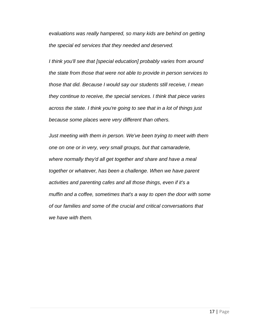*evaluations was really hampered, so many kids are behind on getting the special ed services that they needed and deserved.*

*I think you'll see that [special education] probably varies from around the state from those that were not able to provide in person services to those that did. Because I would say our students still receive, I mean they continue to receive, the special services. I think that piece varies across the state. I think you're going to see that in a lot of things just because some places were very different than others.*

*Just meeting with them in person. We've been trying to meet with them one on one or in very, very small groups, but that camaraderie, where normally they'd all get together and share and have a meal together or whatever, has been a challenge. When we have parent activities and parenting cafes and all those things, even if it's a muffin and a coffee, sometimes that's a way to open the door with some of our families and some of the crucial and critical conversations that we have with them.*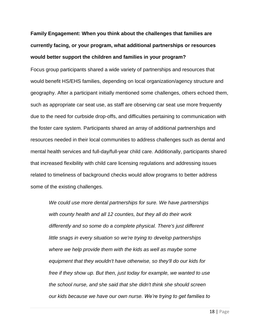### **Family Engagement: When you think about the challenges that families are currently facing, or your program, what additional partnerships or resources would better support the children and families in your program?**

Focus group participants shared a wide variety of partnerships and resources that would benefit HS/EHS families, depending on local organization/agency structure and geography. After a participant initially mentioned some challenges, others echoed them, such as appropriate car seat use, as staff are observing car seat use more frequently due to the need for curbside drop-offs, and difficulties pertaining to communication with the foster care system. Participants shared an array of additional partnerships and resources needed in their local communities to address challenges such as dental and mental health services and full-day/full-year child care. Additionally, participants shared that increased flexibility with child care licensing regulations and addressing issues related to timeliness of background checks would allow programs to better address some of the existing challenges.

*We could use more dental partnerships for sure. We have partnerships with county health and all 12 counties, but they all do their work differently and so some do a complete physical. There's just different little snags in every situation so we're trying to develop partnerships where we help provide them with the kids as well as maybe some equipment that they wouldn't have otherwise, so they'll do our kids for free if they show up. But then, just today for example, we wanted to use the school nurse, and she said that she didn't think she should screen our kids because we have our own nurse. We're trying to get families to*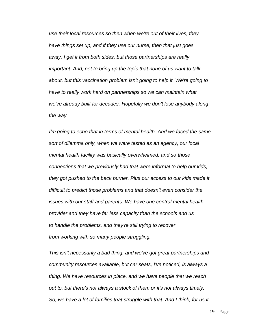*use their local resources so then when we're out of their lives, they have things set up, and if they use our nurse, then that just goes away. I get it from both sides, but those partnerships are really important. And, not to bring up the topic that none of us want to talk about, but this vaccination problem isn't going to help it. We're going to have to really work hard on partnerships so we can maintain what we've already built for decades. Hopefully we don't lose anybody along the way.*

*I'm going to echo that in terms of mental health. And we faced the same sort of dilemma only, when we were tested as an agency, our local mental health facility was basically overwhelmed, and so those connections that we previously had that were informal to help our kids, they got pushed to the back burner. Plus our access to our kids made it difficult to predict those problems and that doesn't even consider the issues with our staff and parents. We have one central mental health provider and they have far less capacity than the schools and us to handle the problems, and they're still trying to recover from working with so many people struggling.*

*This isn't necessarily a bad thing, and we've got great partnerships and community resources available, but car seats, I've noticed, is always a thing. We have resources in place, and we have people that we reach out to, but there's not always a stock of them or it's not always timely. So, we have a lot of families that struggle with that. And I think, for us it*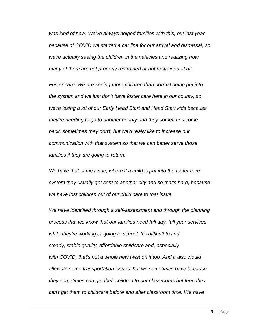*was kind of new. We've always helped families with this, but last year because of COVID we started a car line for our arrival and dismissal, so we're actually seeing the children in the vehicles and realizing how many of them are not properly restrained or not restrained at all.* 

*Foster care. We are seeing more children than normal being put into the system and we just don't have foster care here in our county, so we're losing a lot of our Early Head Start and Head Start kids because they're needing to go to another county and they sometimes come back, sometimes they don't, but we'd really like to increase our communication with that system so that we can better serve those families if they are going to return.*

*We have that same issue, where if a child is put into the foster care system they usually get sent to another city and so that's hard, because we have lost children out of our child care to that issue.*

*We have identified through a self-assessment and through the planning process that we know that our families need full day, full year services while they're working or going to school. It's difficult to find steady, stable quality, affordable childcare and, especially with COVID, that's put a whole new twist on it too. And it also would alleviate some transportation issues that we sometimes have because they sometimes can get their children to our classrooms but then they can't get them to childcare before and after classroom time. We have*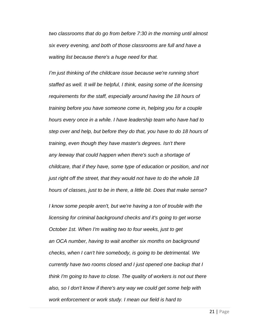*two classrooms that do go from before 7:30 in the morning until almost six every evening, and both of those classrooms are full and have a waiting list because there's a huge need for that.*

*I'm just thinking of the childcare issue because we're running short staffed as well. It will be helpful, I think, easing some of the licensing requirements for the staff, especially around having the 18 hours of training before you have someone come in, helping you for a couple hours every once in a while. I have leadership team who have had to step over and help, but before they do that, you have to do 18 hours of training, even though they have master's degrees. Isn't there any leeway that could happen when there's such a shortage of childcare, that if they have, some type of education or position, and not just right off the street, that they would not have to do the whole 18 hours of classes, just to be in there, a little bit. Does that make sense?*

*I know some people aren't, but we're having a ton of trouble with the licensing for criminal background checks and it's going to get worse October 1st. When I'm waiting two to four weeks, just to get an OCA number, having to wait another six months on background checks, when I can't hire somebody, is going to be detrimental. We currently have two rooms closed and I just opened one backup that I think I'm going to have to close. The quality of workers is not out there also, so I don't know if there's any way we could get some help with work enforcement or work study. I mean our field is hard to*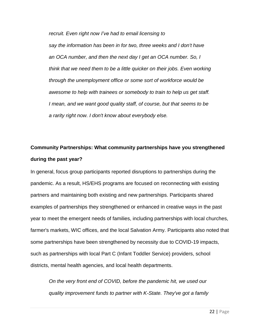*recruit. Even right now I've had to email licensing to say the information has been in for two, three weeks and I don't have an OCA number, and then the next day I get an OCA number. So, I think that we need them to be a little quicker on their jobs. Even working through the unemployment office or some sort of workforce would be awesome to help with trainees or somebody to train to help us get staff. I mean, and we want good quality staff, of course, but that seems to be a rarity right now. I don't know about everybody else.*

### **Community Partnerships: What community partnerships have you strengthened during the past year?**

In general, focus group participants reported disruptions to partnerships during the pandemic. As a result, HS/EHS programs are focused on reconnecting with existing partners and maintaining both existing and new partnerships. Participants shared examples of partnerships they strengthened or enhanced in creative ways in the past year to meet the emergent needs of families, including partnerships with local churches, farmer's markets, WIC offices, and the local Salvation Army. Participants also noted that some partnerships have been strengthened by necessity due to COVID-19 impacts, such as partnerships with local Part C (Infant Toddler Service) providers, school districts, mental health agencies, and local health departments.

*On the very front end of COVID, before the pandemic hit, we used our quality improvement funds to partner with K-State. They've got a family*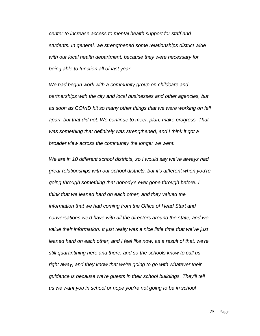*center to increase access to mental health support for staff and students. In general, we strengthened some relationships district wide with our local health department, because they were necessary for being able to function all of last year.*

*We had begun work with a community group on childcare and partnerships with the city and local businesses and other agencies, but as soon as COVID hit so many other things that we were working on fell apart, but that did not. We continue to meet, plan, make progress. That was something that definitely was strengthened, and I think it got a broader view across the community the longer we went.*

*We are in 10 different school districts, so I would say we've always had great relationships with our school districts, but it's different when you're going through something that nobody's ever gone through before. I think that we leaned hard on each other, and they valued the information that we had coming from the Office of Head Start and conversations we'd have with all the directors around the state, and we value their information. It just really was a nice little time that we've just leaned hard on each other, and I feel like now, as a result of that, we're still quarantining here and there, and so the schools know to call us right away, and they know that we're going to go with whatever their guidance is because we're guests in their school buildings. They'll tell us we want you in school or nope you're not going to be in school*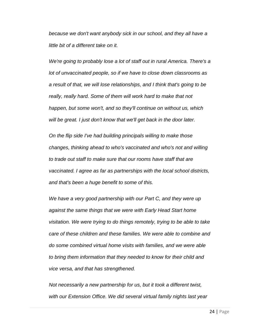*because we don't want anybody sick in our school, and they all have a little bit of a different take on it.* 

*We're going to probably lose a lot of staff out in rural America. There's a lot of unvaccinated people, so if we have to close down classrooms as a result of that, we will lose relationships, and I think that's going to be really, really hard. Some of them will work hard to make that not happen, but some won't, and so they'll continue on without us, which will be great. I just don't know that we'll get back in the door later.*

*On the flip side I've had building principals willing to make those changes, thinking ahead to who's vaccinated and who's not and willing to trade out staff to make sure that our rooms have staff that are vaccinated. I agree as far as partnerships with the local school districts, and that's been a huge benefit to some of this.*

*We have a very good partnership with our Part C, and they were up against the same things that we were with Early Head Start home visitation. We were trying to do things remotely, trying to be able to take care of these children and these families. We were able to combine and do some combined virtual home visits with families, and we were able to bring them information that they needed to know for their child and vice versa, and that has strengthened.*

*Not necessarily a new partnership for us, but it took a different twist, with our Extension Office. We did several virtual family nights last year*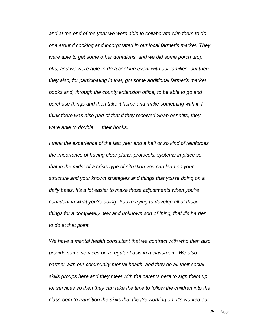*and at the end of the year we were able to collaborate with them to do one around cooking and incorporated in our local farmer's market. They were able to get some other donations, and we did some porch drop offs, and we were able to do a cooking event with our families, but then they also, for participating in that, got some additional farmer's market books and, through the county extension office, to be able to go and purchase things and then take it home and make something with it. I think there was also part of that if they received Snap benefits, they were able to double their books.*

*I think the experience of the last year and a half or so kind of reinforces the importance of having clear plans, protocols, systems in place so that in the midst of a crisis type of situation you can lean on your structure and your known strategies and things that you're doing on a daily basis. It's a lot easier to make those adjustments when you're confident in what you're doing. You're trying to develop all of these things for a completely new and unknown sort of thing, that it's harder to do at that point.*

*We have a mental health consultant that we contract with who then also provide some services on a regular basis in a classroom. We also partner with our community mental health, and they do all their social skills groups here and they meet with the parents here to sign them up for services so then they can take the time to follow the children into the classroom to transition the skills that they're working on. It's worked out*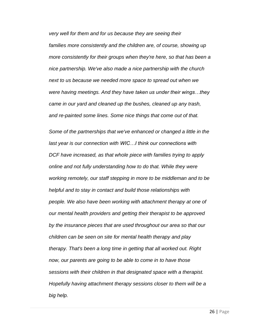*very well for them and for us because they are seeing their families more consistently and the children are, of course, showing up more consistently for their groups when they're here, so that has been a nice partnership. We've also made a nice partnership with the church next to us because we needed more space to spread out when we were having meetings. And they have taken us under their wings…they came in our yard and cleaned up the bushes, cleaned up any trash, and re-painted some lines. Some nice things that come out of that.*

*Some of the partnerships that we've enhanced or changed a little in the last year is our connection with WIC…I think our connections with DCF have increased, as that whole piece with families trying to apply online and not fully understanding how to do that. While they were working remotely, our staff stepping in more to be middleman and to be helpful and to stay in contact and build those relationships with people. We also have been working with attachment therapy at one of our mental health providers and getting their therapist to be approved by the insurance pieces that are used throughout our area so that our children can be seen on site for mental health therapy and play therapy. That's been a long time in getting that all worked out. Right now, our parents are going to be able to come in to have those sessions with their children in that designated space with a therapist. Hopefully having attachment therapy sessions closer to them will be a big help.*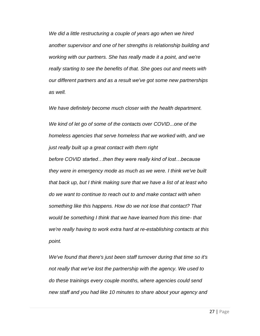*We did a little restructuring a couple of years ago when we hired another supervisor and one of her strengths is relationship building and working with our partners. She has really made it a point, and we're really starting to see the benefits of that. She goes out and meets with our different partners and as a result we've got some new partnerships as well.*

*We have definitely become much closer with the health department.*

*We kind of let go of some of the contacts over COVID...one of the homeless agencies that serve homeless that we worked with, and we just really built up a great contact with them right before COVID started…then they were really kind of lost…because they were in emergency mode as much as we were. I think we've built that back up, but I think making sure that we have a list of at least who do we want to continue to reach out to and make contact with when something like this happens. How do we not lose that contact? That would be something I think that we have learned from this time- that we're really having to work extra hard at re-establishing contacts at this point.*

*We've found that there's just been staff turnover during that time so it's not really that we've lost the partnership with the agency. We used to do these trainings every couple months, where agencies could send new staff and you had like 10 minutes to share about your agency and*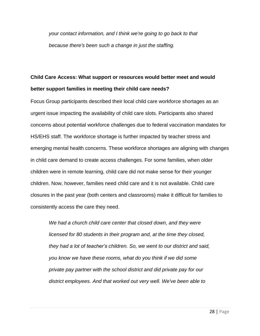*your contact information, and I think we're going to go back to that because there's been such a change in just the staffing.* 

### **Child Care Access: What support or resources would better meet and would better support families in meeting their child care needs?**

Focus Group participants described their local child care workforce shortages as an urgent issue impacting the availability of child care slots. Participants also shared concerns about potential workforce challenges due to federal vaccination mandates for HS/EHS staff. The workforce shortage is further impacted by teacher stress and emerging mental health concerns. These workforce shortages are aligning with changes in child care demand to create access challenges. For some families, when older children were in remote learning, child care did not make sense for their younger children. Now, however, families need child care and it is not available. Child care closures in the past year (both centers and classrooms) make it difficult for families to consistently access the care they need.

*We had a church child care center that closed down, and they were licensed for 80 students in their program and, at the time they closed, they had a lot of teacher's children. So, we went to our district and said, you know we have these rooms, what do you think if we did some private pay partner with the school district and did private pay for our district employees. And that worked out very well. We've been able to*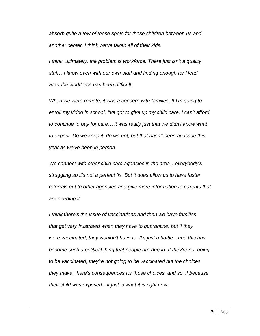*absorb quite a few of those spots for those children between us and another center. I think we've taken all of their kids.*

*I think, ultimately, the problem is workforce. There just isn't a quality staff…I know even with our own staff and finding enough for Head Start the workforce has been difficult.*

*When we were remote, it was a concern with families. If I'm going to enroll my kiddo in school, I've got to give up my child care, I can't afford to continue to pay for care… it was really just that we didn't know what to expect. Do we keep it, do we not, but that hasn't been an issue this year as we've been in person.*

*We connect with other child care agencies in the area…everybody's struggling so it's not a perfect fix. But it does allow us to have faster referrals out to other agencies and give more information to parents that are needing it.*

*I think there's the issue of vaccinations and then we have families that get very frustrated when they have to quarantine, but if they were vaccinated, they wouldn't have to. It's just a battle…and this has become such a political thing that people are dug in. If they're not going to be vaccinated, they're not going to be vaccinated but the choices they make, there's consequences for those choices, and so, if because their child was exposed…it just is what it is right now.*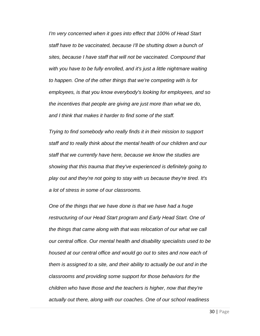*I'm very concerned when it goes into effect that 100% of Head Start staff have to be vaccinated, because I'll be shutting down a bunch of sites, because I have staff that will not be vaccinated. Compound that with you have to be fully enrolled, and it's just a little nightmare waiting to happen. One of the other things that we're competing with is for employees, is that you know everybody's looking for employees, and so the incentives that people are giving are just more than what we do, and I think that makes it harder to find some of the staff.*

*Trying to find somebody who really finds it in their mission to support staff and to really think about the mental health of our children and our staff that we currently have here, because we know the studies are showing that this trauma that they've experienced is definitely going to play out and they're not going to stay with us because they're tired. It's a lot of stress in some of our classrooms.*

*One of the things that we have done is that we have had a huge restructuring of our Head Start program and Early Head Start. One of the things that came along with that was relocation of our what we call our central office. Our mental health and disability specialists used to be housed at our central office and would go out to sites and now each of them is assigned to a site, and their ability to actually be out and in the classrooms and providing some support for those behaviors for the children who have those and the teachers is higher, now that they're actually out there, along with our coaches. One of our school readiness*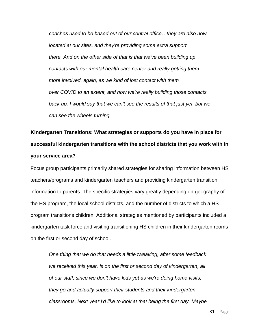*coaches used to be based out of our central office…they are also now located at our sites, and they're providing some extra support there. And on the other side of that is that we've been building up contacts with our mental health care center and really getting them more involved, again, as we kind of lost contact with them over COVID to an extent, and now we're really building those contacts back up. I would say that we can't see the results of that just yet, but we can see the wheels turning.*

**Kindergarten Transitions: What strategies or supports do you have in place for successful kindergarten transitions with the school districts that you work with in your service area?**

Focus group participants primarily shared strategies for sharing information between HS teachers/programs and kindergarten teachers and providing kindergarten transition information to parents. The specific strategies vary greatly depending on geography of the HS program, the local school districts, and the number of districts to which a HS program transitions children. Additional strategies mentioned by participants included a kindergarten task force and visiting transitioning HS children in their kindergarten rooms on the first or second day of school.

*One thing that we do that needs a little tweaking, after some feedback we received this year, is on the first or second day of kindergarten, all of our staff, since we don't have kids yet as we're doing home visits, they go and actually support their students and their kindergarten classrooms. Next year I'd like to look at that being the first day. Maybe*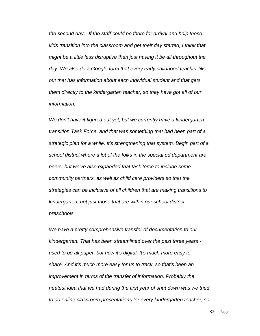*the second day…If the staff could be there for arrival and help those kids transition into the classroom and get their day started, I think that might be a little less disruptive than just having it be all throughout the day. We also do a Google form that every early childhood teacher fills out that has information about each individual student and that gets them directly to the kindergarten teacher, so they have got all of our information.*

*We don't have it figured out yet, but we currently have a kindergarten transition Task Force, and that was something that had been part of a strategic plan for a while. It's strengthening that system. Begin part of a school district where a lot of the folks in the special ed department are peers, but we've also expanded that task force to include some community partners, as well as child care providers so that the strategies can be inclusive of all children that are making transitions to kindergarten, not just those that are within our school district preschools.*

*We have a pretty comprehensive transfer of documentation to our kindergarten. That has been streamlined over the past three years used to be all paper, but now it's digital. It's much more easy to share. And it's much more easy for us to track, so that's been an improvement in terms of the transfer of information. Probably the neatest idea that we had during the first year of shut down was we tried to do online classroom presentations for every kindergarten teacher, so*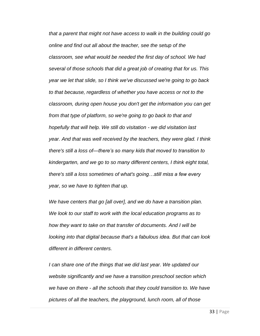*that a parent that might not have access to walk in the building could go online and find out all about the teacher, see the setup of the classroom, see what would be needed the first day of school. We had several of those schools that did a great job of creating that for us. This year we let that slide, so I think we've discussed we're going to go back to that because, regardless of whether you have access or not to the classroom, during open house you don't get the information you can get from that type of platform, so we're going to go back to that and hopefully that will help. We still do visitation - we did visitation last year. And that was well received by the teachers, they were glad. I think there's still a loss of—there's so many kids that moved to transition to kindergarten, and we go to so many different centers, I think eight total, there's still a loss sometimes of what's going…still miss a few every year, so we have to tighten that up.*

*We have centers that go [all over], and we do have a transition plan. We look to our staff to work with the local education programs as to how they want to take on that transfer of documents. And I will be looking into that digital because that's a fabulous idea. But that can look different in different centers.*

*I can share one of the things that we did last year. We updated our website significantly and we have a transition preschool section which we have on there - all the schools that they could transition to. We have pictures of all the teachers, the playground, lunch room, all of those*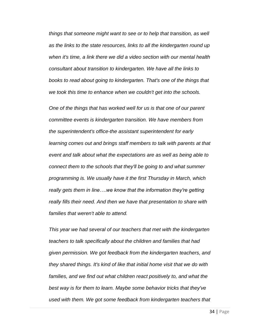*things that someone might want to see or to help that transition, as well as the links to the state resources, links to all the kindergarten round up when it's time, a link there we did a video section with our mental health consultant about transition to kindergarten. We have all the links to books to read about going to kindergarten. That's one of the things that we took this time to enhance when we couldn't get into the schools.*

*One of the things that has worked well for us is that one of our parent committee events is kindergarten transition. We have members from the superintendent's office-the assistant superintendent for early learning comes out and brings staff members to talk with parents at that event and talk about what the expectations are as well as being able to connect them to the schools that they'll be going to and what summer programming is. We usually have it the first Thursday in March, which really gets them in line….we know that the information they're getting really fills their need. And then we have that presentation to share with families that weren't able to attend.*

*This year we had several of our teachers that met with the kindergarten teachers to talk specifically about the children and families that had given permission. We got feedback from the kindergarten teachers, and they shared things. It's kind of like that initial home visit that we do with families, and we find out what children react positively to, and what the best way is for them to learn. Maybe some behavior tricks that they've used with them. We got some feedback from kindergarten teachers that*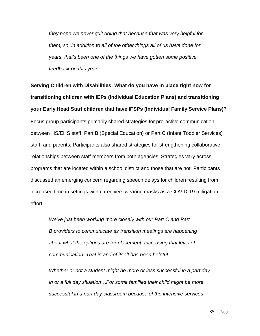*they hope we never quit doing that because that was very helpful for them, so, in addition to all of the other things all of us have done for years, that's been one of the things we have gotten some positive feedback on this year.*

**Serving Children with Disabilities: What do you have in place right now for transitioning children with IEPs (Individual Education Plans) and transitioning your Early Head Start children that have IFSPs (Individual Family Service Plans)?** Focus group participants primarily shared strategies for pro-active communication between HS/EHS staff, Part B (Special Education) or Part C (Infant Toddler Services) staff, and parents. Participants also shared strategies for strengthening collaborative relationships between staff members from both agencies. Strategies vary across programs that are located within a school district and those that are not. Participants discussed an emerging concern regarding speech delays for children resulting from increased time in settings with caregivers wearing masks as a COVID-19 mitigation effort.

*We've just been working more closely with our Part C and Part B providers to communicate as transition meetings are happening about what the options are for placement. Increasing that level of communication. That in and of itself has been helpful.*

*Whether or not a student might be more or less successful in a part day in or a full day situation…For some families their child might be more successful in a part day classroom because of the intensive services*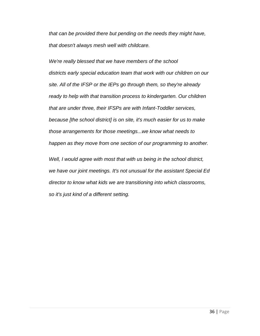*that can be provided there but pending on the needs they might have, that doesn't always mesh well with childcare.*

*We're really blessed that we have members of the school districts early special education team that work with our children on our site. All of the IFSP or the IEPs go through them, so they're already ready to help with that transition process to kindergarten. Our children that are under three, their IFSPs are with Infant-Toddler services, because [the school district] is on site, it's much easier for us to make those arrangements for those meetings...we know what needs to happen as they move from one section of our programming to another.*

*Well, I would agree with most that with us being in the school district, we have our joint meetings. It's not unusual for the assistant Special Ed director to know what kids we are transitioning into which classrooms, so it's just kind of a different setting.*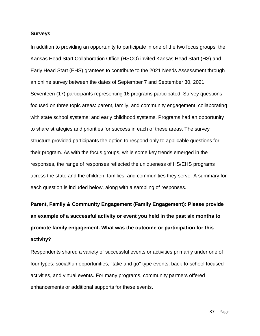#### **Surveys**

In addition to providing an opportunity to participate in one of the two focus groups, the Kansas Head Start Collaboration Office (HSCO) invited Kansas Head Start (HS) and Early Head Start (EHS) grantees to contribute to the 2021 Needs Assessment through an online survey between the dates of September 7 and September 30, 2021. Seventeen (17) participants representing 16 programs participated. Survey questions focused on three topic areas: parent, family, and community engagement; collaborating with state school systems; and early childhood systems. Programs had an opportunity to share strategies and priorities for success in each of these areas. The survey structure provided participants the option to respond only to applicable questions for their program. As with the focus groups, while some key trends emerged in the responses, the range of responses reflected the uniqueness of HS/EHS programs across the state and the children, families, and communities they serve. A summary for each question is included below, along with a sampling of responses.

**Parent, Family & Community Engagement (Family Engagement): Please provide an example of a successful activity or event you held in the past six months to promote family engagement. What was the outcome or participation for this activity?** 

Respondents shared a variety of successful events or activities primarily under one of four types: social/fun opportunities, "take and go" type events, back-to-school focused activities, and virtual events. For many programs, community partners offered enhancements or additional supports for these events.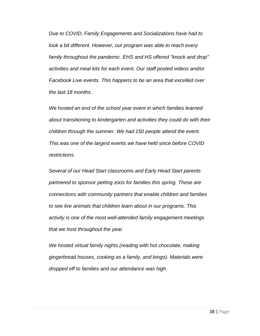*Due to COVID, Family Engagements and Socializations have had to look a bit different. However, our program was able to reach every family throughout the pandemic. EHS and HS offered "knock and drop" activities and meal kits for each event. Our staff posted videos and/or Facebook Live events. This happens to be an area that excelled over the last 18 months.*

*We hosted an end of the school year event in which families learned about transitioning to kindergarten and activities they could do with their children through the summer. We had 150 people attend the event. This was one of the largest events we have held since before COVID restrictions.*

*Several of our Head Start classrooms and Early Head Start parents partnered to sponsor petting zoos for families this spring. These are connections with community partners that enable children and families to see live animals that children learn about in our programs. This activity is one of the most well-attended family engagement meetings that we host throughout the year.*

*We hosted virtual family nights (reading with hot chocolate, making gingerbread houses, cooking as a family, and bingo). Materials were dropped off to families and our attendance was high.*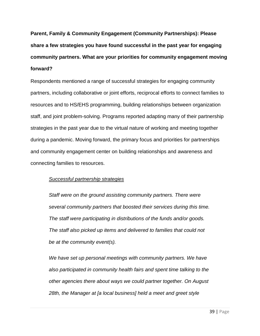**Parent, Family & Community Engagement (Community Partnerships): Please share a few strategies you have found successful in the past year for engaging community partners. What are your priorities for community engagement moving forward?** 

Respondents mentioned a range of successful strategies for engaging community partners, including collaborative or joint efforts, reciprocal efforts to connect families to resources and to HS/EHS programming, building relationships between organization staff, and joint problem-solving. Programs reported adapting many of their partnership strategies in the past year due to the virtual nature of working and meeting together during a pandemic. Moving forward, the primary focus and priorities for partnerships and community engagement center on building relationships and awareness and connecting families to resources.

### *Successful partnership strategies*

*Staff were on the ground assisting community partners. There were several community partners that boosted their services during this time. The staff were participating in distributions of the funds and/or goods. The staff also picked up items and delivered to families that could not be at the community event(s).*

*We have set up personal meetings with community partners. We have also participated in community health fairs and spent time talking to the other agencies there about ways we could partner together. On August 28th, the Manager at [a local business] held a meet and greet style*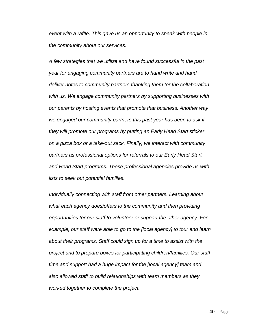*event with a raffle. This gave us an opportunity to speak with people in the community about our services.*

*A few strategies that we utilize and have found successful in the past year for engaging community partners are to hand write and hand deliver notes to community partners thanking them for the collaboration with us. We engage community partners by supporting businesses with our parents by hosting events that promote that business. Another way we engaged our community partners this past year has been to ask if they will promote our programs by putting an Early Head Start sticker on a pizza box or a take-out sack. Finally, we interact with community partners as professional options for referrals to our Early Head Start and Head Start programs. These professional agencies provide us with lists to seek out potential families.*

*Individually connecting with staff from other partners. Learning about what each agency does/offers to the community and then providing opportunities for our staff to volunteer or support the other agency. For example, our staff were able to go to the [local agency] to tour and learn about their programs. Staff could sign up for a time to assist with the project and to prepare boxes for participating children/families. Our staff time and support had a huge impact for the [local agency] team and also allowed staff to build relationships with team members as they worked together to complete the project.*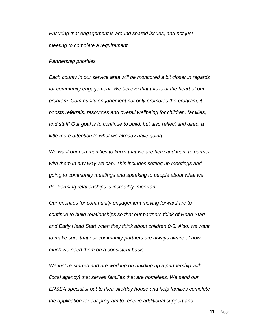*Ensuring that engagement is around shared issues, and not just meeting to complete a requirement.*

#### *Partnership priorities*

*Each county in our service area will be monitored a bit closer in regards for community engagement. We believe that this is at the heart of our program. Community engagement not only promotes the program, it boosts referrals, resources and overall wellbeing for children, families, and staff! Our goal is to continue to build, but also reflect and direct a little more attention to what we already have going.*

*We want our communities to know that we are here and want to partner with them in any way we can. This includes setting up meetings and going to community meetings and speaking to people about what we do. Forming relationships is incredibly important.*

*Our priorities for community engagement moving forward are to continue to build relationships so that our partners think of Head Start and Early Head Start when they think about children 0-5. Also, we want to make sure that our community partners are always aware of how much we need them on a consistent basis.*

*We just re-started and are working on building up a partnership with [local agency] that serves families that are homeless. We send our ERSEA specialist out to their site/day house and help families complete the application for our program to receive additional support and*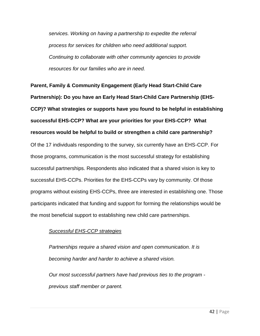*services. Working on having a partnership to expedite the referral process for services for children who need additional support. Continuing to collaborate with other community agencies to provide resources for our families who are in need.*

**Parent, Family & Community Engagement (Early Head Start-Child Care Partnership): Do you have an Early Head Start-Child Care Partnership (EHS-CCP)? What strategies or supports have you found to be helpful in establishing successful EHS-CCP? What are your priorities for your EHS-CCP? What resources would be helpful to build or strengthen a child care partnership?** Of the 17 individuals responding to the survey, six currently have an EHS-CCP. For those programs, communication is the most successful strategy for establishing successful partnerships. Respondents also indicated that a shared vision is key to successful EHS-CCPs. Priorities for the EHS-CCPs vary by community. Of those programs without existing EHS-CCPs, three are interested in establishing one. Those participants indicated that funding and support for forming the relationships would be the most beneficial support to establishing new child care partnerships.

### *Successful EHS-CCP strategies*

*Partnerships require a shared vision and open communication. It is becoming harder and harder to achieve a shared vision.*

*Our most successful partners have had previous ties to the program previous staff member or parent.*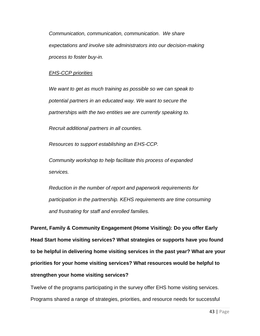*Communication, communication, communication. We share expectations and involve site administrators into our decision-making process to foster buy-in.*

### *EHS-CCP priorities*

*We want to get as much training as possible so we can speak to potential partners in an educated way. We want to secure the partnerships with the two entities we are currently speaking to.*

*Recruit additional partners in all counties.*

*Resources to support establishing an EHS-CCP.*

*Community workshop to help facilitate this process of expanded services.*

*Reduction in the number of report and paperwork requirements for participation in the partnership. KEHS requirements are time consuming and frustrating for staff and enrolled families.*

**Parent, Family & Community Engagement (Home Visiting): Do you offer Early Head Start home visiting services? What strategies or supports have you found to be helpful in delivering home visiting services in the past year? What are your priorities for your home visiting services? What resources would be helpful to strengthen your home visiting services?**

Twelve of the programs participating in the survey offer EHS home visiting services. Programs shared a range of strategies, priorities, and resource needs for successful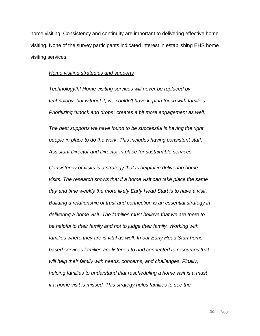home visiting. Consistency and continuity are important to delivering effective home visiting. None of the survey participants indicated interest in establishing EHS home visiting services.

#### *Home visiting strategies and supports*

*Technology!!!! Home visiting services will never be replaced by technology, but without it, we couldn't have kept in touch with families. Prioritizing "knock and drops" creates a bit more engagement as well.*

*The best supports we have found to be successful is having the right people in place to do the work. This includes having consistent staff, Assistant Director and Director in place for sustainable services.*

*Consistency of visits is a strategy that is helpful in delivering home visits. The research shows that if a home visit can take place the same day and time weekly the more likely Early Head Start is to have a visit. Building a relationship of trust and connection is an essential strategy in delivering a home visit. The families must believe that we are there to be helpful to their family and not to judge their family. Working with families where they are is vital as well. In our Early Head Start homebased services families are listened to and connected to resources that will help their family with needs, concerns, and challenges. Finally, helping families to understand that rescheduling a home visit is a must if a home visit is missed. This strategy helps families to see the*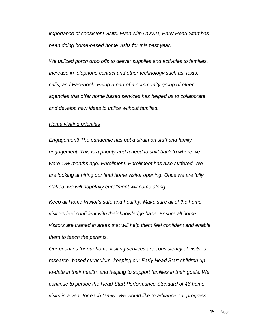*importance of consistent visits. Even with COVID, Early Head Start has been doing home-based home visits for this past year.*

*We utilized porch drop offs to deliver supplies and activities to families. Increase in telephone contact and other technology such as: texts, calls, and Facebook. Being a part of a community group of other agencies that offer home based services has helped us to collaborate and develop new ideas to utilize without families.*

#### *Home visiting priorities*

*Engagement! The pandemic has put a strain on staff and family engagement. This is a priority and a need to shift back to where we were 18+ months ago. Enrollment! Enrollment has also suffered. We are looking at hiring our final home visitor opening. Once we are fully staffed, we will hopefully enrollment will come along.*

*Keep all Home Visitor's safe and healthy. Make sure all of the home visitors feel confident with their knowledge base. Ensure all home visitors are trained in areas that will help them feel confident and enable them to teach the parents.*

*Our priorities for our home visiting services are consistency of visits, a research- based curriculum, keeping our Early Head Start children upto-date in their health, and helping to support families in their goals. We continue to pursue the Head Start Performance Standard of 46 home visits in a year for each family. We would like to advance our progress*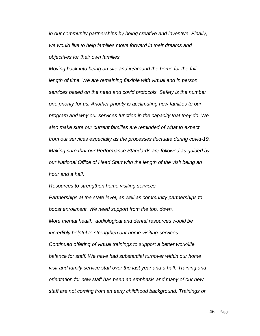*in our community partnerships by being creative and inventive. Finally, we would like to help families move forward in their dreams and objectives for their own families.*

*Moving back into being on site and in/around the home for the full length of time. We are remaining flexible with virtual and in person services based on the need and covid protocols. Safety is the number one priority for us. Another priority is acclimating new families to our program and why our services function in the capacity that they do. We also make sure our current families are reminded of what to expect from our services especially as the processes fluctuate during covid-19. Making sure that our Performance Standards are followed as guided by our National Office of Head Start with the length of the visit being an hour and a half.*

#### *Resources to strengthen home visiting services*

*Partnerships at the state level, as well as community partnerships to boost enrollment. We need support from the top, down. More mental health, audiological and dental resources would be incredibly helpful to strengthen our home visiting services. Continued offering of virtual trainings to support a better work/life balance for staff. We have had substantial turnover within our home visit and family service staff over the last year and a half. Training and orientation for new staff has been an emphasis and many of our new staff are not coming from an early childhood background. Trainings or*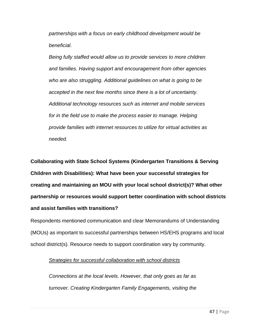*partnerships with a focus on early childhood development would be beneficial.*

*Being fully staffed would allow us to provide services to more children and families. Having support and encouragement from other agencies who are also struggling. Additional guidelines on what is going to be accepted in the next few months since there is a lot of uncertainty. Additional technology resources such as internet and mobile services for in the field use to make the process easier to manage. Helping provide families with internet resources to utilize for virtual activities as needed.*

**Collaborating with State School Systems (Kindergarten Transitions & Serving Children with Disabilities): What have been your successful strategies for creating and maintaining an MOU with your local school district(s)? What other partnership or resources would support better coordination with school districts and assist families with transitions?**

Respondents mentioned communication and clear Memorandums of Understanding (MOUs) as important to successful partnerships between HS/EHS programs and local school district(s). Resource needs to support coordination vary by community.

### *Strategies for successful collaboration with school districts*

*Connections at the local levels. However, that only goes as far as turnover. Creating Kindergarten Family Engagements, visiting the*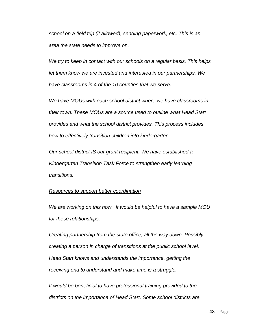*school on a field trip (if allowed), sending paperwork, etc. This is an area the state needs to improve on.*

*We try to keep in contact with our schools on a regular basis. This helps let them know we are invested and interested in our partnerships. We have classrooms in 4 of the 10 counties that we serve.*

*We have MOUs with each school district where we have classrooms in their town. These MOUs are a source used to outline what Head Start provides and what the school district provides. This process includes how to effectively transition children into kindergarten.*

*Our school district IS our grant recipient. We have established a Kindergarten Transition Task Force to strengthen early learning transitions.*

### *Resources to support better coordination*

*We are working on this now. It would be helpful to have a sample MOU for these relationships.*

*Creating partnership from the state office, all the way down. Possibly creating a person in charge of transitions at the public school level. Head Start knows and understands the importance, getting the receiving end to understand and make time is a struggle.*

*It would be beneficial to have professional training provided to the districts on the importance of Head Start. Some school districts are*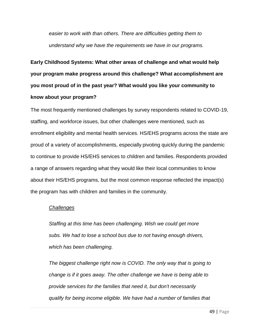*easier to work with than others. There are difficulties getting them to understand why we have the requirements we have in our programs.*

**Early Childhood Systems: What other areas of challenge and what would help your program make progress around this challenge? What accomplishment are you most proud of in the past year? What would you like your community to know about your program?**

The most frequently mentioned challenges by survey respondents related to COVID-19, staffing, and workforce issues, but other challenges were mentioned, such as enrollment eligibility and mental health services. HS/EHS programs across the state are proud of a variety of accomplishments, especially pivoting quickly during the pandemic to continue to provide HS/EHS services to children and families. Respondents provided a range of answers regarding what they would like their local communities to know about their HS/EHS programs, but the most common response reflected the impact(s) the program has with children and families in the community.

### *Challenges*

*Staffing at this time has been challenging. Wish we could get more subs. We had to lose a school bus due to not having enough drivers, which has been challenging.*

*The biggest challenge right now is COVID. The only way that is going to change is if it goes away. The other challenge we have is being able to provide services for the families that need it, but don't necessarily qualify for being income eligible. We have had a number of families that*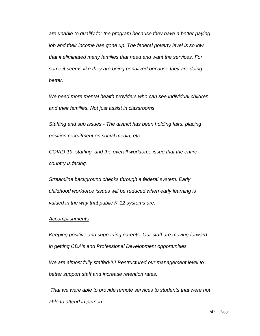*are unable to qualify for the program because they have a better paying job and their income has gone up. The federal poverty level is so low that it eliminated many families that need and want the services. For some it seems like they are being penalized because they are doing better.*

*We need more mental health providers who can see individual children and their families. Not just assist in classrooms.*

*Staffing and sub issues - The district has been holding fairs, placing position recruitment on social media, etc.*

*COVID-19, staffing, and the overall workforce issue that the entire country is facing.*

*Streamline background checks through a federal system. Early childhood workforce issues will be reduced when early learning is valued in the way that public K-12 systems are.*

### *Accomplishments*

*Keeping positive and supporting parents. Our staff are moving forward in getting CDA's and Professional Development opportunities.*

*We are almost fully staffed!!!!! Restructured our management level to better support staff and increase retention rates.*

*That we were able to provide remote services to students that were not able to attend in person.*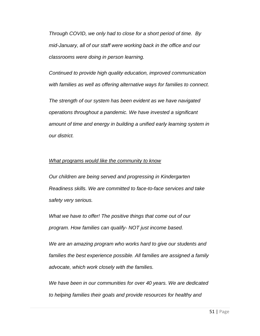*Through COVID, we only had to close for a short period of time. By mid-January, all of our staff were working back in the office and our classrooms were doing in person learning.*

*Continued to provide high quality education, improved communication with families as well as offering alternative ways for families to connect.*

*The strength of our system has been evident as we have navigated operations throughout a pandemic. We have invested a significant amount of time and energy in building a unified early learning system in our district.*

### *What programs would like the community to know*

*Our children are being served and progressing in Kindergarten Readiness skills. We are committed to face-to-face services and take safety very serious.*

*What we have to offer! The positive things that come out of our program. How families can qualify- NOT just income based.*

*We are an amazing program who works hard to give our students and families the best experience possible. All families are assigned a family advocate, which work closely with the families.*

*We have been in our communities for over 40 years. We are dedicated to helping families their goals and provide resources for healthy and*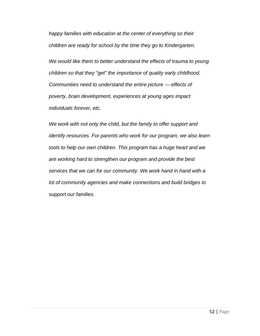*happy families with education at the center of everything so their children are ready for school by the time they go to Kindergarten.*

*We would like them to better understand the effects of trauma to young children so that they "get" the importance of quality early childhood. Communities need to understand the entire picture --- effects of poverty, brain development, experiences at young ages impact individuals forever, etc.*

*We work with not only the child, but the family to offer support and identify resources. For parents who work for our program, we also learn tools to help our own children. This program has a huge heart and we are working hard to strengthen our program and provide the best services that we can for our community. We work hand in hand with a lot of community agencies and make connections and build bridges to support our families.*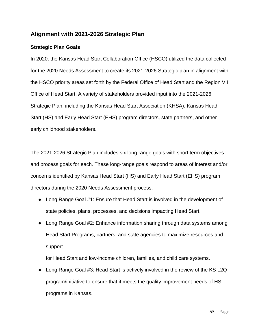### **Alignment with 2021-2026 Strategic Plan**

### **Strategic Plan Goals**

In 2020, the Kansas Head Start Collaboration Office (HSCO) utilized the data collected for the 2020 Needs Assessment to create its 2021-2026 Strategic plan in alignment with the HSCO priority areas set forth by the Federal Office of Head Start and the Region VII Office of Head Start. A variety of stakeholders provided input into the 2021-2026 Strategic Plan, including the Kansas Head Start Association (KHSA), Kansas Head Start (HS) and Early Head Start (EHS) program directors, state partners, and other early childhood stakeholders.

The 2021-2026 Strategic Plan includes six long range goals with short term objectives and process goals for each. These long-range goals respond to areas of interest and/or concerns identified by Kansas Head Start (HS) and Early Head Start (EHS) program directors during the 2020 Needs Assessment process.

- Long Range Goal #1: Ensure that Head Start is involved in the development of state policies, plans, processes, and decisions impacting Head Start.
- Long Range Goal #2: Enhance information sharing through data systems among Head Start Programs, partners, and state agencies to maximize resources and support

for Head Start and low-income children, families, and child care systems.

Long Range Goal #3: Head Start is actively involved in the review of the KS L2Q program/initiative to ensure that it meets the quality improvement needs of HS programs in Kansas.